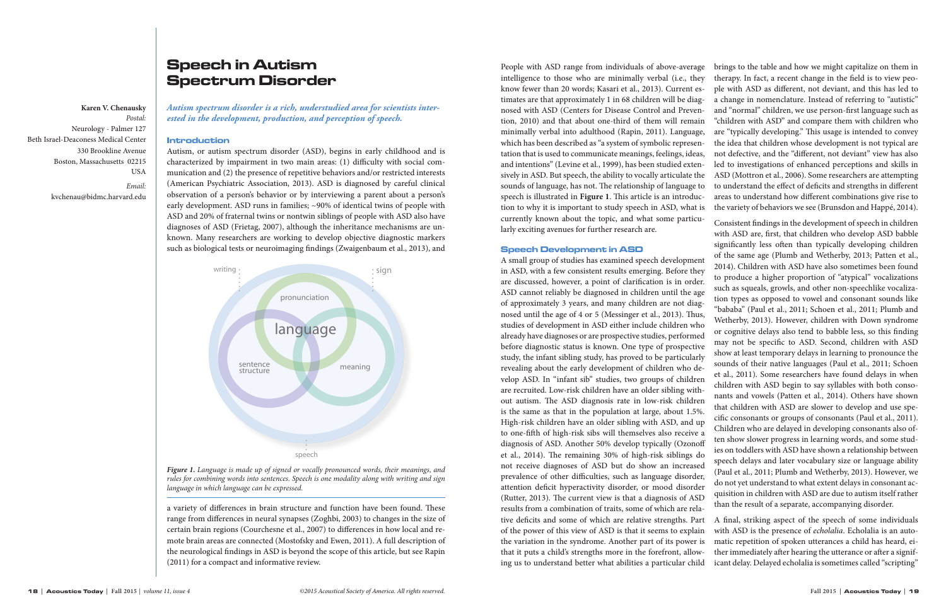# Speech in Autism Spectrum Disorder

*Autism spectrum disorder is a rich, understudied area for scientists interested in the development, production, and perception of speech.*

## Introduction

Autism, or autism spectrum disorder (ASD), begins in early childhood and is characterized by impairment in two main areas: (1) difficulty with social communication and (2) the presence of repetitive behaviors and/or restricted interests (American Psychiatric Association, 2013). ASD is diagnosed by careful clinical observation of a person's behavior or by interviewing a parent about a person's early development. ASD runs in families; ~90% of identical twins of people with ASD and 20% of fraternal twins or nontwin siblings of people with ASD also have diagnoses of ASD (Frietag, 2007), although the inheritance mechanisms are unknown. Many researchers are working to develop objective diagnostic markers such as biological tests or neuroimaging findings (Zwaigenbaum et al., 2013), and

a variety of differences in brain structure and function have been found. These range from differences in neural synapses (Zoghbi, 2003) to changes in the size of certain brain regions (Courchesne et al., 2007) to differences in how local and remote brain areas are connected (Mostofsky and Ewen, 2011). A full description of the neurological findings in ASD is beyond the scope of this article, but see Rapin (2011) for a compact and informative review.

**Karen V. Chenausky** *Postal:*  Neurology - Palmer 127 Beth Israel-Deaconess Medical Center 330 Brookline Avenue Boston, Massachusetts 02215 USA

*Email:*

kvchenau@bidmc.harvard.edu



*Figure 1. Language is made up of signed or vocally pronounced words, their meanings, and rules for combining words into sentences. Speech is one modality along with writing and sign language in which language can be expressed.* 

People with ASD range from individuals of above-average intelligence to those who are minimally verbal (i.e., they know fewer than 20 words; Kasari et al., 2013). Current estimates are that approximately 1 in 68 children will be diagnosed with ASD (Centers for Disease Control and Prevention, 2010) and that about one-third of them will remain minimally verbal into adulthood (Rapin, 2011). Language, which has been described as "a system of symbolic representation that is used to communicate meanings, feelings, ideas, and intentions" (Levine et al., 1999), has been studied extensively in ASD. But speech, the ability to vocally articulate the sounds of language, has not. The relationship of language to speech is illustrated in **Figure 1**. This article is an introduction to why it is important to study speech in ASD, what is currently known about the topic, and what some particubrings to the table and how we might capitalize on them in therapy. In fact, a recent change in the field is to view people with ASD as different, not deviant, and this has led to a change in nomenclature. Instead of referring to "autistic" and "normal" children, we use person-first language such as "children with ASD" and compare them with children who are "typically developing." This usage is intended to convey the idea that children whose development is not typical are not defective, and the "different, not deviant" view has also led to investigations of enhanced perceptions and skills in ASD (Mottron et al., 2006). Some researchers are attempting to understand the effect of deficits and strengths in different areas to understand how different combinations give rise to the variety of behaviors we see (Brunsdon and Happé, 2014). Consistent findings in the development of speech in children

larly exciting avenues for further research are. Speech Development in ASD A small group of studies has examined speech development in ASD, with a few consistent results emerging. Before they are discussed, however, a point of clarification is in order. ASD cannot reliably be diagnosed in children until the age of approximately 3 years, and many children are not diagnosed until the age of 4 or 5 (Messinger et al., 2013). Thus, studies of development in ASD either include children who already have diagnoses or are prospective studies, performed before diagnostic status is known. One type of prospective study, the infant sibling study, has proved to be particularly revealing about the early development of children who develop ASD. In "infant sib" studies, two groups of children are recruited. Low-risk children have an older sibling without autism. The ASD diagnosis rate in low-risk children is the same as that in the population at large, about 1.5%. High-risk children have an older sibling with ASD, and up to one-fifth of high-risk sibs will themselves also receive a diagnosis of ASD. Another 50% develop typically (Ozonoff et al., 2014). The remaining 30% of high-risk siblings do not receive diagnoses of ASD but do show an increased prevalence of other difficulties, such as language disorder, attention deficit hyperactivity disorder, or mood disorder (Rutter, 2013). The current view is that a diagnosis of ASD results from a combination of traits, some of which are relative deficits and some of which are relative strengths. Part of the power of this view of ASD is that it seems to explain the variation in the syndrome. Another part of its power is that it puts a child's strengths more in the forefront, allowing us to understand better what abilities a particular child with ASD are, first, that children who develop ASD babble significantly less often than typically developing children of the same age (Plumb and Wetherby, 2013; Patten et al., 2014). Children with ASD have also sometimes been found to produce a higher proportion of "atypical" vocalizations such as squeals, growls, and other non-speechlike vocalization types as opposed to vowel and consonant sounds like "bababa" (Paul et al., 2011; Schoen et al., 2011; Plumb and Wetherby, 2013). However, children with Down syndrome or cognitive delays also tend to babble less, so this finding may not be specific to ASD. Second, children with ASD show at least temporary delays in learning to pronounce the sounds of their native languages (Paul et al., 2011; Schoen et al., 2011). Some researchers have found delays in when children with ASD begin to say syllables with both consonants and vowels (Patten et al., 2014). Others have shown that children with ASD are slower to develop and use specific consonants or groups of consonants (Paul et al., 2011). Children who are delayed in developing consonants also often show slower progress in learning words, and some studies on toddlers with ASD have shown a relationship between speech delays and later vocabulary size or language ability (Paul et al., 2011; Plumb and Wetherby, 2013). However, we do not yet understand to what extent delays in consonant acquisition in children with ASD are due to autism itself rather than the result of a separate, accompanying disorder. A final, striking aspect of the speech of some individuals with ASD is the presence of *echolalia*. Echolalia is an automatic repetition of spoken utterances a child has heard, either immediately after hearing the utterance or after a significant delay. Delayed echolalia is sometimes called "scripting"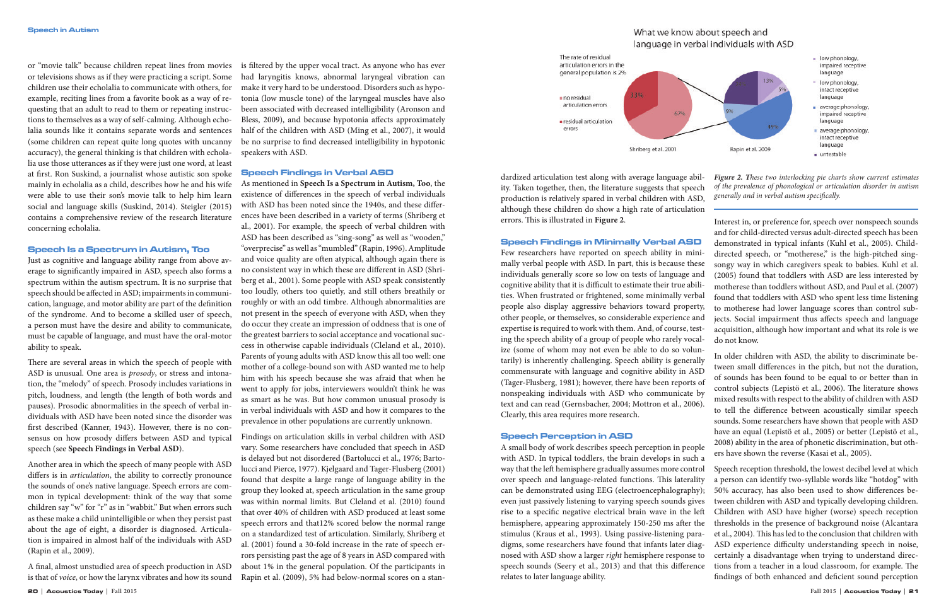or "movie talk" because children repeat lines from movies or televisions shows as if they were practicing a script. Some children use their echolalia to communicate with others, for example, reciting lines from a favorite book as a way of requesting that an adult to read to them or repeating instructions to themselves as a way of self-calming. Although echolalia sounds like it contains separate words and sentences (some children can repeat quite long quotes with uncanny accuracy), the general thinking is that children with echolalia use those utterances as if they were just one word, at least at first. Ron Suskind, a journalist whose autistic son spoke mainly in echolalia as a child, describes how he and his wife were able to use their son's movie talk to help him learn social and language skills (Suskind, 2014). Steigler (2015) contains a comprehensive review of the research literature concerning echolalia.

### Speech Is a Spectrum in Autism, Too

Just as cognitive and language ability range from above average to significantly impaired in ASD, speech also forms a spectrum within the autism spectrum. It is no surprise that speech should be affected in ASD; impairments in communication, language, and motor ability are part of the definition of the syndrome. And to become a skilled user of speech, a person must have the desire and ability to communicate, must be capable of language, and must have the oral-motor ability to speak.

There are several areas in which the speech of people with ASD is unusual. One area is *prosody*, or stress and intonation, the "melody" of speech. Prosody includes variations in pitch, loudness, and length (the length of both words and pauses). Prosodic abnormalities in the speech of verbal individuals with ASD have been noted since the disorder was first described (Kanner, 1943). However, there is no consensus on how prosody differs between ASD and typical speech (see **Speech Findings in Verbal ASD**).

Another area in which the speech of many people with ASD differs is in *articulation*, the ability to correctly pronounce the sounds of one's native language. Speech errors are common in typical development: think of the way that some children say "w" for "r" as in "wabbit." But when errors such as these make a child unintelligible or when they persist past about the age of eight, a disorder is diagnosed. Articulation is impaired in almost half of the individuals with ASD (Rapin et al., 2009).

A final, almost unstudied area of speech production in ASD is that of *voice*, or how the larynx vibrates and how its sound

is filtered by the upper vocal tract. As anyone who has ever had laryngitis knows, abnormal laryngeal vibration can make it very hard to be understood. Disorders such as hypotonia (low muscle tone) of the laryngeal muscles have also been associated with decreased intelligibility (Aronson and Bless, 2009), and because hypotonia affects approximately half of the children with ASD (Ming et al., 2007), it would be no surprise to find decreased intelligibility in hypotonic speakers with ASD.

## Speech Findings in Verbal ASD

As mentioned in **Speech Is a Spectrum in Autism, Too**, the existence of differences in the speech of verbal individuals with ASD has been noted since the 1940s, and these differences have been described in a variety of terms (Shriberg et al., 2001). For example, the speech of verbal children with ASD has been described as "sing-song" as well as "wooden," "overprecise" as well as "mumbled" (Rapin, 1996). Amplitude and voice quality are often atypical, although again there is no consistent way in which these are different in ASD (Shriberg et al., 2001). Some people with ASD speak consistently too loudly, others too quietly, and still others breathily or roughly or with an odd timbre. Although abnormalities are not present in the speech of everyone with ASD, when they do occur they create an impression of oddness that is one of the greatest barriers to social acceptance and vocational success in otherwise capable individuals (Cleland et al., 2010). Parents of young adults with ASD know this all too well: one mother of a college-bound son with ASD wanted me to help him with his speech because she was afraid that when he went to apply for jobs, interviewers wouldn't think he was as smart as he was. But how common unusual prosody is in verbal individuals with ASD and how it compares to the prevalence in other populations are currently unknown.

Findings on articulation skills in verbal children with ASD vary. Some researchers have concluded that speech in ASD is delayed but not disordered (Bartolucci et al., 1976; Bartolucci and Pierce, 1977). Kjelgaard and Tager-Flusberg (2001) found that despite a large range of language ability in the group they looked at, speech articulation in the same group was within normal limits. But Cleland et al. (2010) found that over 40% of children with ASD produced at least some speech errors and that12% scored below the normal range on a standardized test of articulation. Similarly, Shriberg et al. (2001) found a 30-fold increase in the rate of speech errors persisting past the age of 8 years in ASD compared with about 1% in the general population. Of the participants in Rapin et al. (2009), 5% had below-normal scores on a stan-





## Speech Findings in Minimally Verbal ASD

Few researchers have reported on speech ability in minimally verbal people with ASD. In part, this is because these individuals generally score so low on tests of language and cognitive ability that it is difficult to estimate their true abilities. When frustrated or frightened, some minimally verbal people also display aggressive behaviors toward property, other people, or themselves, so considerable experience and expertise is required to work with them. And, of course, testing the speech ability of a group of people who rarely vocalize (some of whom may not even be able to do so voluntarily) is inherently challenging. Speech ability is generally commensurate with language and cognitive ability in ASD (Tager-Flusberg, 1981); however, there have been reports of nonspeaking individuals with ASD who communicate by text and can read (Gernsbacher, 2004; Mottron et al., 2006). Clearly, this area requires more research.

## Speech Perception in ASD

dardized articulation test along with average language ability. Taken together, then, the literature suggests that speech production is relatively spared in verbal children with ASD, although these children do show a high rate of articulation errors. This is illustrated in **Figure 2**. Interest in, or preference for, speech over nonspeech sounds *Figure 2. These two interlocking pie charts show current estimates of the prevalence of phonological or articulation disorder in autism generally and in verbal autism specifically.*

and for child-directed versus adult-directed speech has been demonstrated in typical infants (Kuhl et al., 2005). Childdirected speech, or "motherese," is the high-pitched singsongy way in which caregivers speak to babies. Kuhl et al. (2005) found that toddlers with ASD are less interested by motherese than toddlers without ASD, and Paul et al. (2007) found that toddlers with ASD who spent less time listening to motherese had lower language scores than control subjects. Social impairment thus affects speech and language acquisition, although how important and what its role is we do not know.

A small body of work describes speech perception in people with ASD. In typical toddlers, the brain develops in such a way that the left hemisphere gradually assumes more control over speech and language-related functions. This laterality can be demonstrated using EEG (electroencephalography); even just passively listening to varying speech sounds gives rise to a specific negative electrical brain wave in the left hemisphere, appearing approximately 150-250 ms after the stimulus (Kraus et al., 1993). Using passive-listening paradigms, some researchers have found that infants later diagnosed with ASD show a larger *right* hemisphere response to speech sounds (Seery et al., 2013) and that this difference relates to later language ability. ers have shown the reverse (Kasai et al., 2005). Speech reception threshold, the lowest decibel level at which a person can identify two-syllable words like "hotdog" with 50% accuracy, has also been used to show differences between children with ASD and typically developing children. Children with ASD have higher (worse) speech reception thresholds in the presence of background noise (Alcantara et al., 2004). This has led to the conclusion that children with ASD experience difficulty understanding speech in noise, certainly a disadvantage when trying to understand directions from a teacher in a loud classroom, for example. The findings of both enhanced and deficient sound perception

## What we know about speech and language in verbal individuals with ASD

In older children with ASD, the ability to discriminate between small differences in the pitch, but not the duration, of sounds has been found to be equal to or better than in control subjects (Lepistö et al., 2006). The literature shows mixed results with respect to the ability of children with ASD to tell the difference between acoustically similar speech sounds. Some researchers have shown that people with ASD have an equal (Lepistö et al., 2005) or better (Lepistö et al., 2008) ability in the area of phonetic discrimination, but oth-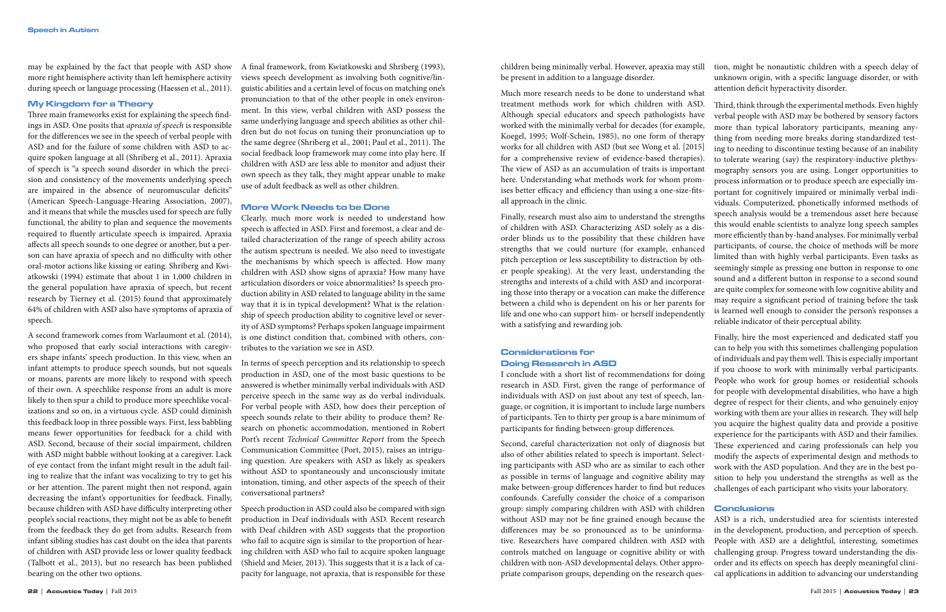may be explained by the fact that people with ASD show more right hemisphere activity than left hemisphere activity during speech or language processing (Haessen et al., 2011).

## My Kingdom for a Theory

Three main frameworks exist for explaining the speech findings in ASD. One posits that *apraxia of speech* is responsible for the differences we see in the speech of verbal people with ASD and for the failure of some children with ASD to acquire spoken language at all (Shriberg et al., 2011). Apraxia of speech is "a speech sound disorder in which the precision and consistency of the movements underlying speech are impaired in the absence of neuromuscular deficits" (American Speech-Language-Hearing Association, 2007), and it means that while the muscles used for speech are fully functional, the ability to plan and sequence the movements required to fluently articulate speech is impaired. Apraxia affects all speech sounds to one degree or another, but a person can have apraxia of speech and no difficulty with other oral-motor actions like kissing or eating. Shriberg and Kwiatkowski (1994) estimate that about 1 in 1,000 children in the general population have apraxia of speech, but recent research by Tierney et al. (2015) found that approximately 64% of children with ASD also have symptoms of apraxia of speech.

A second framework comes from Warlaumont et al. (2014), who proposed that early social interactions with caregivers shape infants' speech production. In this view, when an infant attempts to produce speech sounds, but not squeals or moans, parents are more likely to respond with speech of their own. A speechlike response from an adult is more likely to then spur a child to produce more speechlike vocalizations and so on, in a virtuous cycle. ASD could diminish this feedback loop in three possible ways. First, less babbling means fewer opportunities for feedback for a child with ASD. Second, because of their social impairment, children with ASD might babble without looking at a caregiver. Lack of eye contact from the infant might result in the adult failing to realize that the infant was vocalizing to try to get his or her attention. The parent might then not respond, again decreasing the infant's opportunities for feedback. Finally, because children with ASD have difficulty interpreting other people's social reactions, they might not be as able to benefit from the feedback they do get from adults. Research from infant sibling studies has cast doubt on the idea that parents of children with ASD provide less or lower quality feedback (Talbott et al., 2013), but no research has been published bearing on the other two options.

A final framework, from Kwiatkowski and Shriberg (1993), views speech development as involving both cognitive/linguistic abilities and a certain level of focus on matching one's pronunciation to that of the other people in one's environment. In this view, verbal children with ASD possess the same underlying language and speech abilities as other children but do not focus on tuning their pronunciation up to the same degree (Shriberg et al., 2001; Paul et al., 2011). The social feedback loop framework may come into play here. If children with ASD are less able to monitor and adjust their own speech as they talk, they might appear unable to make use of adult feedback as well as other children.

## More Work Needs to be Done

Clearly, much more work is needed to understand how speech is affected in ASD. First and foremost, a clear and detailed characterization of the range of speech ability across the autism spectrum is needed. We also need to investigate the mechanisms by which speech is affected. How many children with ASD show signs of apraxia? How many have articulation disorders or voice abnormalities? Is speech production ability in ASD related to language ability in the same way that it is in typical development? What is the relationship of speech production ability to cognitive level or severity of ASD symptoms? Perhaps spoken language impairment is one distinct condition that, combined with others, contributes to the variation we see in ASD.

In terms of speech perception and its relationship to speech production in ASD, one of the most basic questions to be answered is whether minimally verbal individuals with ASD perceive speech in the same way as do verbal individuals. For verbal people with ASD, how does their perception of speech sounds relate to their ability to produce them? Research on phonetic accommodation, mentioned in Robert Port's recent *Technical Committee Report* from the Speech Communication Committee (Port, 2015), raises an intriguing question. Are speakers with ASD as likely as speakers without ASD to spontaneously and unconsciously imitate intonation, timing, and other aspects of the speech of their conversational partners?

Speech production in ASD could also be compared with sign production in Deaf individuals with ASD. Recent research with Deaf children with ASD suggests that the proportion who fail to acquire sign is similar to the proportion of hearing children with ASD who fail to acquire spoken language (Shield and Meier, 2013). This suggests that it is a lack of capacity for language, not apraxia, that is responsible for these

children being minimally verbal. However, apraxia may still be present in addition to a language disorder. tion, might be nonautistic children with a speech delay of unknown origin, with a specific language disorder, or with attention deficit hyperactivity disorder.

## Considerations for Doing Research in ASD

I conclude with a short list of recommendations for doing research in ASD. First, given the range of performance of individuals with ASD on just about any test of speech, language, or cognition, it is important to include large numbers of participants. Ten to thirty per group is a bare minimum of participants for finding between-group differences.

Much more research needs to be done to understand what treatment methods work for which children with ASD. Third, think through the experimental methods. Even highly verbal people with ASD may be bothered by sensory factors more than typical laboratory participants, meaning anything from needing more breaks during standardized testing to needing to discontinue testing because of an inability to tolerate wearing (say) the respiratory-inductive plethysmography sensors you are using. Longer opportunities to process information or to produce speech are especially important for cognitively impaired or minimally verbal individuals. Computerized, phonetically informed methods of speech analysis would be a tremendous asset here because this would enable scientists to analyze long speech samples more efficiently than by-hand analyses. For minimally verbal participants, of course, the choice of methods will be more limited than with highly verbal participants. Even tasks as seemingly simple as pressing one button in response to one sound and a different button in response to a second sound are quite complex for someone with low cognitive ability and may require a significant period of training before the task is learned well enough to consider the person's responses a

Although special educators and speech pathologists have worked with the minimally verbal for decades (for example, Koegel, 1995; Wolf-Schein, 1985), no one form of therapy works for all children with ASD (but see Wong et al. [2015] for a comprehensive review of evidence-based therapies). The view of ASD as an accumulation of traits is important here. Understanding what methods work for whom promises better efficacy and efficiency than using a one-size-fitsall approach in the clinic. Finally, research must also aim to understand the strengths of children with ASD. Characterizing ASD solely as a disorder blinds us to the possibility that these children have strengths that we could nurture (for example, enhanced pitch perception or less susceptibility to distraction by other people speaking). At the very least, understanding the strengths and interests of a child with ASD and incorporating those into therapy or a vocation can make the difference between a child who is dependent on his or her parents for life and one who can support him- or herself independently with a satisfying and rewarding job. reliable indicator of their perceptual ability.

Second, careful characterization not only of diagnosis but also of other abilities related to speech is important. Selecting participants with ASD who are as similar to each other as possible in terms of language and cognitive ability may make between-group differences harder to find but reduces confounds. Carefully consider the choice of a comparison group: simply comparing children with ASD with children without ASD may not be fine grained enough because the differences may be so pronounced as to be uninformative. Researchers have compared children with ASD with controls matched on language or cognitive ability or with children with non-ASD developmental delays. Other appropriate comparison groups, depending on the research queswork with the ASD population. And they are in the best pochallenges of each participant who visits your laboratory. Conclusions ASD is a rich, understudied area for scientists interested in the development, production, and perception of speech. People with ASD are a delightful, interesting, sometimes challenging group. Progress toward understanding the disorder and its effects on speech has deeply meaningful clinical applications in addition to advancing our understanding

Finally, hire the most experienced and dedicated staff you can to help you with this sometimes challenging population of individuals and pay them well. This is especially important if you choose to work with minimally verbal participants. People who work for group homes or residential schools for people with developmental disabilities, who have a high degree of respect for their clients, and who genuinely enjoy working with them are your allies in research. They will help you acquire the highest quality data and provide a positive experience for the participants with ASD and their families. These experienced and caring professionals can help you modify the aspects of experimental design and methods to sition to help you understand the strengths as well as the